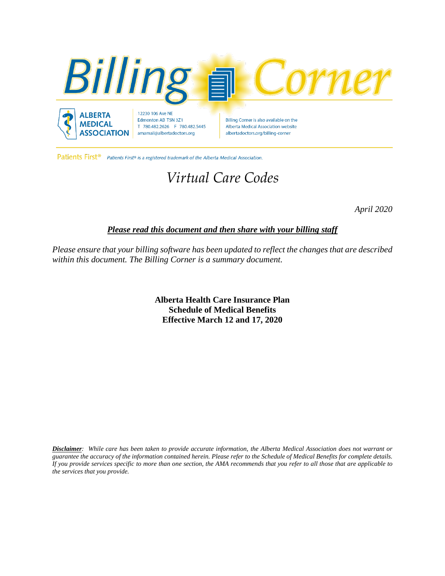

Patients First<sup>®</sup> Patients First® is a registered trademark of the Alberta Medical Association.

# *Virtual Care Codes*

*April 2020*

## *Please read this document and then share with your billing staff*

*Please ensure that your billing software has been updated to reflect the changes that are described within this document. The Billing Corner is a summary document.*

> **Alberta Health Care Insurance Plan Schedule of Medical Benefits Effective March 12 and 17, 2020**

Disclaimer: While care has been taken to provide accurate information, the Alberta Medical Association does not warrant or guarantee the accuracy of the information contained herein. Please refer to the Schedule of Medical Benefits for complete details. If you provide services specific to more than one section, the AMA recommends that you refer to all those that are applicable to *the services that you provide.*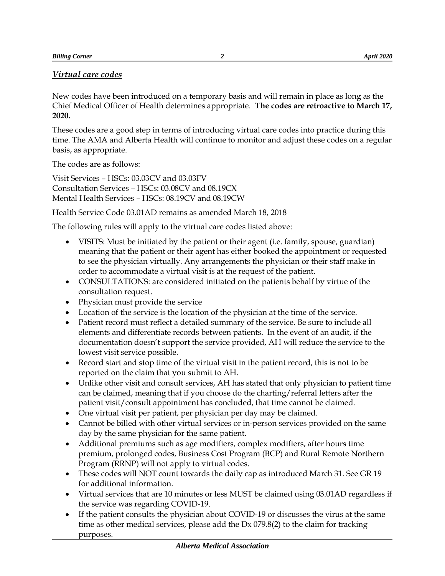## *Virtual care codes*

New codes have been introduced on a temporary basis and will remain in place as long as the Chief Medical Officer of Health determines appropriate. **The codes are retroactive to March 17, 2020.** 

These codes are a good step in terms of introducing virtual care codes into practice during this time. The AMA and Alberta Health will continue to monitor and adjust these codes on a regular basis, as appropriate.

The codes are as follows:

Visit Services – HSCs: 03.03CV and 03.03FV Consultation Services – HSCs: 03.08CV and 08.19CX Mental Health Services – HSCs: 08.19CV and 08.19CW

Health Service Code 03.01AD remains as amended March 18, 2018

The following rules will apply to the virtual care codes listed above:

- VISITS: Must be initiated by the patient or their agent (i.e. family, spouse, guardian) meaning that the patient or their agent has either booked the appointment or requested to see the physician virtually. Any arrangements the physician or their staff make in order to accommodate a virtual visit is at the request of the patient.
- CONSULTATIONS: are considered initiated on the patients behalf by virtue of the consultation request.
- Physician must provide the service
- Location of the service is the location of the physician at the time of the service.
- Patient record must reflect a detailed summary of the service. Be sure to include all elements and differentiate records between patients. In the event of an audit, if the documentation doesn't support the service provided, AH will reduce the service to the lowest visit service possible.
- Record start and stop time of the virtual visit in the patient record, this is not to be reported on the claim that you submit to AH.
- Unlike other visit and consult services, AH has stated that only physician to patient time can be claimed, meaning that if you choose do the charting/referral letters after the patient visit/consult appointment has concluded, that time cannot be claimed.
- One virtual visit per patient, per physician per day may be claimed.
- Cannot be billed with other virtual services or in-person services provided on the same day by the same physician for the same patient.
- Additional premiums such as age modifiers, complex modifiers, after hours time premium, prolonged codes, Business Cost Program (BCP) and Rural Remote Northern Program (RRNP) will not apply to virtual codes.
- These codes will NOT count towards the daily cap as introduced March 31. See GR 19 for additional information.
- Virtual services that are 10 minutes or less MUST be claimed using 03.01AD regardless if the service was regarding COVID-19.
- If the patient consults the physician about COVID-19 or discusses the virus at the same time as other medical services, please add the  $Dx$  079.8(2) to the claim for tracking purposes.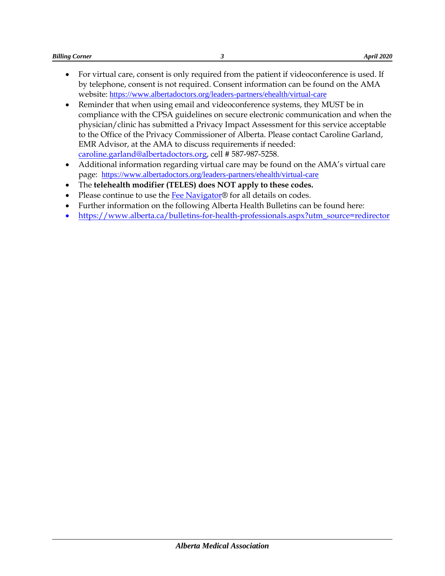- For virtual care, consent is only required from the patient if videoconference is used. If by telephone, consent is not required. Consent information can be found on the AMA website: <https://www.albertadoctors.org/leaders-partners/ehealth/virtual-care>
- Reminder that when using email and videoconference systems, they MUST be in compliance with the CPSA guidelines on secure electronic communication and when the physician/clinic has submitted a Privacy Impact Assessment for this service acceptable to the Office of the Privacy Commissioner of Alberta. Please contact Caroline Garland, EMR Advisor, at the AMA to discuss requirements if needed: [caroline.garland@albertadoctors.org,](mailto:caroline.garland@albertadoctors.org) cell # 587-987-5258.
- Additional information regarding virtual care may be found on the AMA's virtual care page: <https://www.albertadoctors.org/leaders-partners/ehealth/virtual-care>
- The **telehealth modifier (TELES) does NOT apply to these codes.**
- Please continue to use the  $\frac{Fe}{Fe}$  Navigator® for all details on codes.
- Further information on the following Alberta Health Bulletins can be found here:
- [https://www.alberta.ca/bulletins-for-health-professionals.aspx?utm\\_source=redirector](https://www.alberta.ca/bulletins-for-health-professionals.aspx?utm_source=redirector)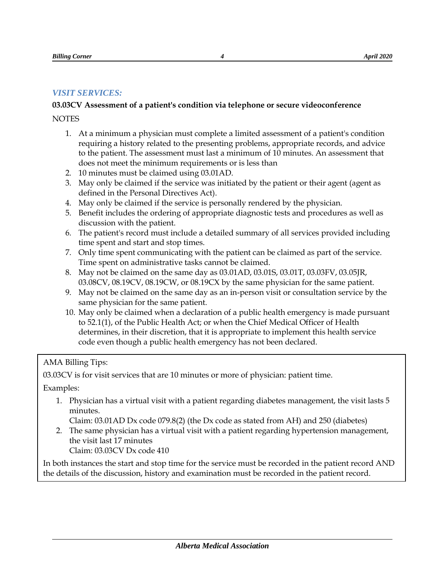#### *VISIT SERVICES:*

## **03.03CV Assessment of a patient's condition via telephone or secure videoconference**

**NOTES** 

- 1. At a minimum a physician must complete a limited assessment of a patient's condition requiring a history related to the presenting problems, appropriate records, and advice to the patient. The assessment must last a minimum of 10 minutes. An assessment that does not meet the minimum requirements or is less than
- 2. 10 minutes must be claimed using 03.01AD.
- 3. May only be claimed if the service was initiated by the patient or their agent (agent as defined in the Personal Directives Act).
- 4. May only be claimed if the service is personally rendered by the physician.
- 5. Benefit includes the ordering of appropriate diagnostic tests and procedures as well as discussion with the patient.
- 6. The patient's record must include a detailed summary of all services provided including time spent and start and stop times.
- 7. Only time spent communicating with the patient can be claimed as part of the service. Time spent on administrative tasks cannot be claimed.
- 8. May not be claimed on the same day as 03.01AD, 03.01S, 03.01T, 03.03FV, 03.05JR, 03.08CV, 08.19CV, 08.19CW, or 08.19CX by the same physician for the same patient.
- 9. May not be claimed on the same day as an in-person visit or consultation service by the same physician for the same patient.
- 10. May only be claimed when a declaration of a public health emergency is made pursuant to 52.1(1), of the Public Health Act; or when the Chief Medical Officer of Health determines, in their discretion, that it is appropriate to implement this health service code even though a public health emergency has not been declared.

#### AMA Billing Tips:

03.03CV is for visit services that are 10 minutes or more of physician: patient time.

Examples:

1. Physician has a virtual visit with a patient regarding diabetes management, the visit lasts 5 minutes.

Claim: 03.01AD Dx code 079.8(2) (the Dx code as stated from AH) and 250 (diabetes)

2. The same physician has a virtual visit with a patient regarding hypertension management, the visit last 17 minutes Claim: 03.03CV Dx code 410

In both instances the start and stop time for the service must be recorded in the patient record AND the details of the discussion, history and examination must be recorded in the patient record.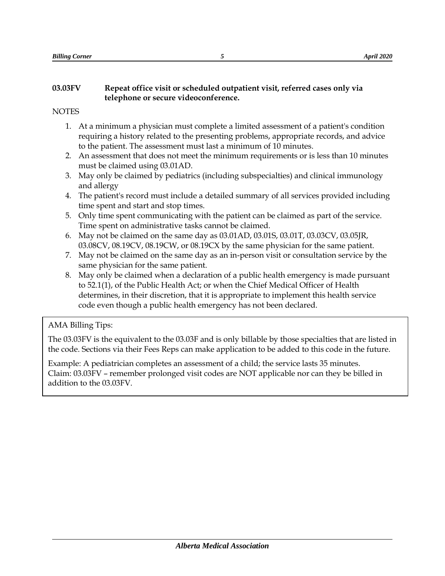## **03.03FV Repeat office visit or scheduled outpatient visit, referred cases only via telephone or secure videoconference.**

## **NOTES**

- 1. At a minimum a physician must complete a limited assessment of a patient's condition requiring a history related to the presenting problems, appropriate records, and advice to the patient. The assessment must last a minimum of 10 minutes.
- 2. An assessment that does not meet the minimum requirements or is less than 10 minutes must be claimed using 03.01AD.
- 3. May only be claimed by pediatrics (including subspecialties) and clinical immunology and allergy
- 4. The patient's record must include a detailed summary of all services provided including time spent and start and stop times.
- 5. Only time spent communicating with the patient can be claimed as part of the service. Time spent on administrative tasks cannot be claimed.
- 6. May not be claimed on the same day as 03.01AD, 03.01S, 03.01T, 03.03CV, 03.05JR, 03.08CV, 08.19CV, 08.19CW, or 08.19CX by the same physician for the same patient.
- 7. May not be claimed on the same day as an in-person visit or consultation service by the same physician for the same patient.
- 8. May only be claimed when a declaration of a public health emergency is made pursuant to 52.1(1), of the Public Health Act; or when the Chief Medical Officer of Health determines, in their discretion, that it is appropriate to implement this health service code even though a public health emergency has not been declared.

## AMA Billing Tips:

The 03.03FV is the equivalent to the 03.03F and is only billable by those specialties that are listed in the code. Sections via their Fees Reps can make application to be added to this code in the future.

Example: A pediatrician completes an assessment of a child; the service lasts 35 minutes. Claim: 03.03FV – remember prolonged visit codes are NOT applicable nor can they be billed in addition to the 03.03FV.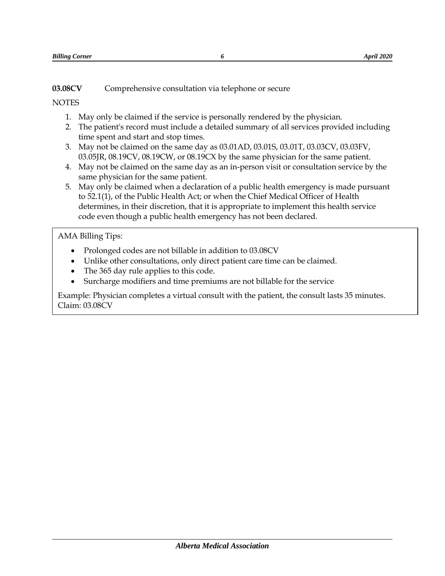**03.08CV** Comprehensive consultation via telephone or secure

## **NOTES**

- 1. May only be claimed if the service is personally rendered by the physician.
- 2. The patient's record must include a detailed summary of all services provided including time spent and start and stop times.
- 3. May not be claimed on the same day as 03.01AD, 03.01S, 03.01T, 03.03CV, 03.03FV, 03.05JR, 08.19CV, 08.19CW, or 08.19CX by the same physician for the same patient.
- 4. May not be claimed on the same day as an in-person visit or consultation service by the same physician for the same patient.
- 5. May only be claimed when a declaration of a public health emergency is made pursuant to 52.1(1), of the Public Health Act; or when the Chief Medical Officer of Health determines, in their discretion, that it is appropriate to implement this health service code even though a public health emergency has not been declared.

## AMA Billing Tips:

- Prolonged codes are not billable in addition to 03.08CV
- Unlike other consultations, only direct patient care time can be claimed.
- The 365 day rule applies to this code.
- Surcharge modifiers and time premiums are not billable for the service

Example: Physician completes a virtual consult with the patient, the consult lasts 35 minutes. Claim: 03.08CV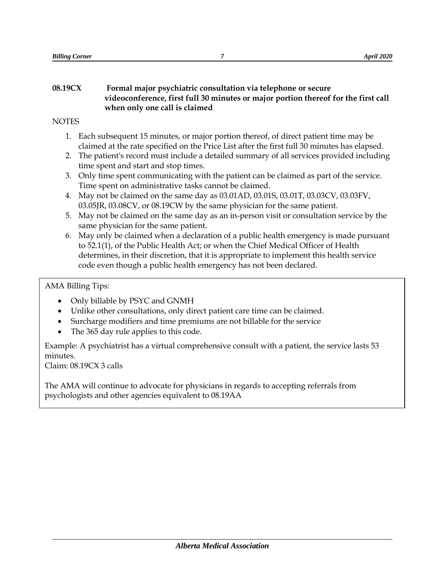#### **08.19CX Formal major psychiatric consultation via telephone or secure videoconference, first full 30 minutes or major portion thereof for the first call when only one call is claimed**

## **NOTES**

- 1. Each subsequent 15 minutes, or major portion thereof, of direct patient time may be claimed at the rate specified on the Price List after the first full 30 minutes has elapsed.
- 2. The patient's record must include a detailed summary of all services provided including time spent and start and stop times.
- 3. Only time spent communicating with the patient can be claimed as part of the service. Time spent on administrative tasks cannot be claimed.
- 4. May not be claimed on the same day as 03.01AD, 03.01S, 03.01T, 03.03CV, 03.03FV, 03.05JR, 03.08CV, or 08.19CW by the same physician for the same patient.
- 5. May not be claimed on the same day as an in-person visit or consultation service by the same physician for the same patient.
- 6. May only be claimed when a declaration of a public health emergency is made pursuant to 52.1(1), of the Public Health Act; or when the Chief Medical Officer of Health determines, in their discretion, that it is appropriate to implement this health service code even though a public health emergency has not been declared.

## AMA Billing Tips:

- Only billable by PSYC and GNMH
- Unlike other consultations, only direct patient care time can be claimed.
- Surcharge modifiers and time premiums are not billable for the service
- The 365 day rule applies to this code.

Example: A psychiatrist has a virtual comprehensive consult with a patient, the service lasts 53 minutes.

Claim: 08.19CX 3 calls

The AMA will continue to advocate for physicians in regards to accepting referrals from psychologists and other agencies equivalent to 08.19AA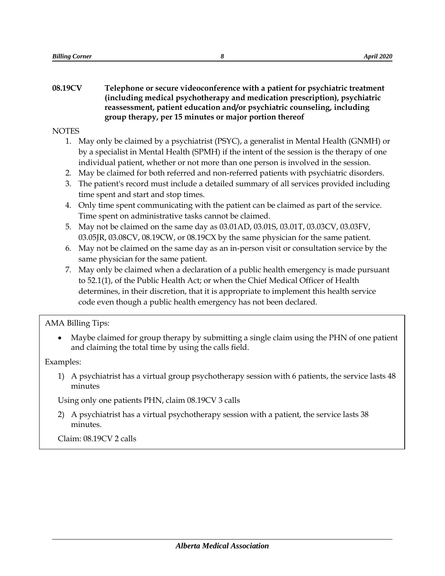#### **08.19CV Telephone or secure videoconference with a patient for psychiatric treatment (including medical psychotherapy and medication prescription), psychiatric reassessment, patient education and/or psychiatric counseling, including group therapy, per 15 minutes or major portion thereof**

**NOTES** 

- 1. May only be claimed by a psychiatrist (PSYC), a generalist in Mental Health (GNMH) or by a specialist in Mental Health (SPMH) if the intent of the session is the therapy of one individual patient, whether or not more than one person is involved in the session.
- 2. May be claimed for both referred and non-referred patients with psychiatric disorders.
- 3. The patient's record must include a detailed summary of all services provided including time spent and start and stop times.
- 4. Only time spent communicating with the patient can be claimed as part of the service. Time spent on administrative tasks cannot be claimed.
- 5. May not be claimed on the same day as 03.01AD, 03.01S, 03.01T, 03.03CV, 03.03FV, 03.05JR, 03.08CV, 08.19CW, or 08.19CX by the same physician for the same patient.
- 6. May not be claimed on the same day as an in-person visit or consultation service by the same physician for the same patient.
- 7. May only be claimed when a declaration of a public health emergency is made pursuant to 52.1(1), of the Public Health Act; or when the Chief Medical Officer of Health determines, in their discretion, that it is appropriate to implement this health service code even though a public health emergency has not been declared.

#### AMA Billing Tips:

 Maybe claimed for group therapy by submitting a single claim using the PHN of one patient and claiming the total time by using the calls field.

Examples:

1) A psychiatrist has a virtual group psychotherapy session with 6 patients, the service lasts 48 minutes

Using only one patients PHN, claim 08.19CV 3 calls

2) A psychiatrist has a virtual psychotherapy session with a patient, the service lasts 38 minutes.

Claim: 08.19CV 2 calls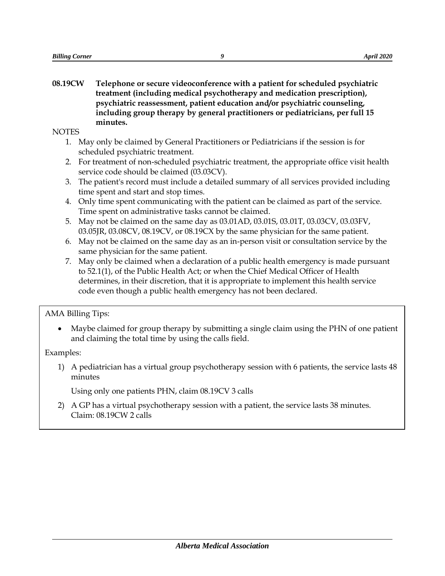**08.19CW Telephone or secure videoconference with a patient for scheduled psychiatric treatment (including medical psychotherapy and medication prescription), psychiatric reassessment, patient education and/or psychiatric counseling, including group therapy by general practitioners or pediatricians, per full 15 minutes.**

**NOTES** 

- 1. May only be claimed by General Practitioners or Pediatricians if the session is for scheduled psychiatric treatment.
- 2. For treatment of non-scheduled psychiatric treatment, the appropriate office visit health service code should be claimed (03.03CV).
- 3. The patient's record must include a detailed summary of all services provided including time spent and start and stop times.
- 4. Only time spent communicating with the patient can be claimed as part of the service. Time spent on administrative tasks cannot be claimed.
- 5. May not be claimed on the same day as 03.01AD, 03.01S, 03.01T, 03.03CV, 03.03FV, 03.05JR, 03.08CV, 08.19CV, or 08.19CX by the same physician for the same patient.
- 6. May not be claimed on the same day as an in-person visit or consultation service by the same physician for the same patient.
- 7. May only be claimed when a declaration of a public health emergency is made pursuant to 52.1(1), of the Public Health Act; or when the Chief Medical Officer of Health determines, in their discretion, that it is appropriate to implement this health service code even though a public health emergency has not been declared.

AMA Billing Tips:

 Maybe claimed for group therapy by submitting a single claim using the PHN of one patient and claiming the total time by using the calls field.

Examples:

1) A pediatrician has a virtual group psychotherapy session with 6 patients, the service lasts 48 minutes

Using only one patients PHN, claim 08.19CV 3 calls

2) A GP has a virtual psychotherapy session with a patient, the service lasts 38 minutes. Claim: 08.19CW 2 calls